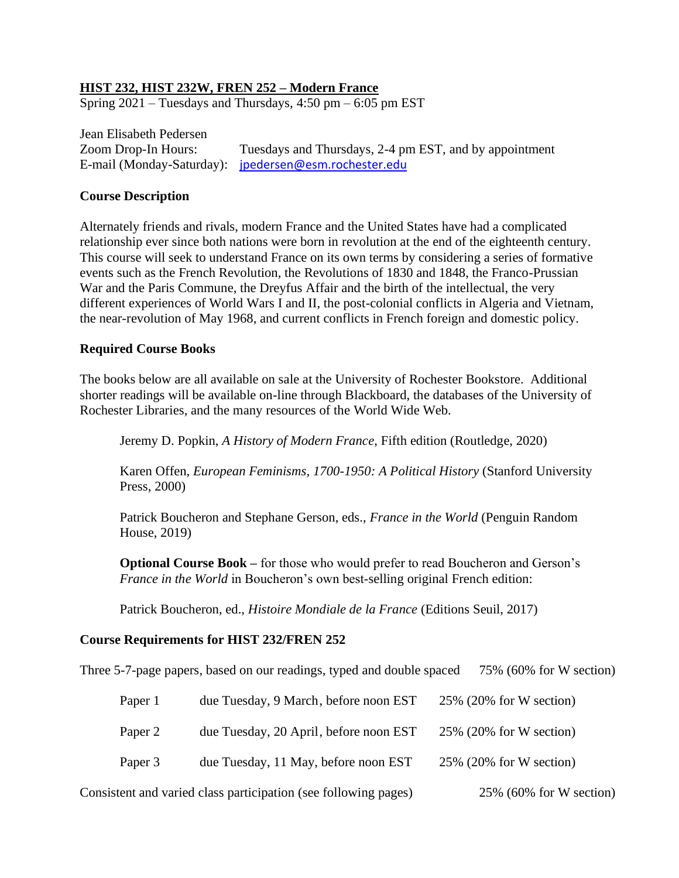# **HIST 232, HIST 232W, FREN 252 – Modern France**

Spring  $2021$  – Tuesdays and Thursdays,  $4:50$  pm –  $6:05$  pm EST

Jean Elisabeth Pedersen Zoom Drop-In Hours: Tuesdays and Thursdays, 2-4 pm EST, and by appointment E-mail (Monday-Saturday): [jpedersen@esm.rochester.edu](mailto:jpedersen@esm.rochester.edu)

### **Course Description**

Alternately friends and rivals, modern France and the United States have had a complicated relationship ever since both nations were born in revolution at the end of the eighteenth century. This course will seek to understand France on its own terms by considering a series of formative events such as the French Revolution, the Revolutions of 1830 and 1848, the Franco-Prussian War and the Paris Commune, the Dreyfus Affair and the birth of the intellectual, the very different experiences of World Wars I and II, the post-colonial conflicts in Algeria and Vietnam, the near-revolution of May 1968, and current conflicts in French foreign and domestic policy.

#### **Required Course Books**

The books below are all available on sale at the University of Rochester Bookstore. Additional shorter readings will be available on-line through Blackboard, the databases of the University of Rochester Libraries, and the many resources of the World Wide Web.

Jeremy D. Popkin, *A History of Modern France*, Fifth edition (Routledge, 2020)

Karen Offen, *European Feminisms, 1700-1950: A Political History* (Stanford University Press, 2000)

Patrick Boucheron and Stephane Gerson, eds., *France in the World* (Penguin Random House, 2019)

**Optional Course Book –** for those who would prefer to read Boucheron and Gerson's *France in the World* in Boucheron's own best-selling original French edition:

Patrick Boucheron, ed., *Histoire Mondiale de la France* (Editions Seuil, 2017)

### **Course Requirements for HIST 232/FREN 252**

Three 5-7-page papers, based on our readings, typed and double spaced 75% (60% for W section)

| Paper 1                                                         | due Tuesday, 9 March, before noon EST  | $25\%$ (20% for W section) |
|-----------------------------------------------------------------|----------------------------------------|----------------------------|
| Paper 2                                                         | due Tuesday, 20 April, before noon EST | $25\%$ (20% for W section) |
| Paper 3                                                         | due Tuesday, 11 May, before noon EST   | $25\%$ (20% for W section) |
| Consistent and varied class participation (see following pages) |                                        | $25\%$ (60% for W section) |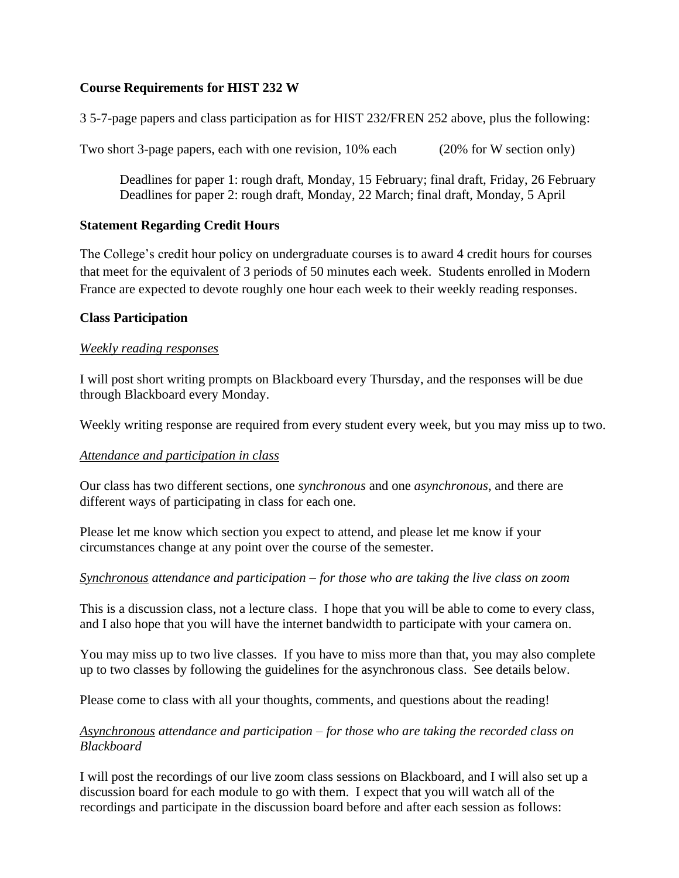# **Course Requirements for HIST 232 W**

3 5-7-page papers and class participation as for HIST 232/FREN 252 above, plus the following:

Two short 3-page papers, each with one revision, 10% each (20% for W section only)

Deadlines for paper 1: rough draft, Monday, 15 February; final draft, Friday, 26 February Deadlines for paper 2: rough draft, Monday, 22 March; final draft, Monday, 5 April

### **Statement Regarding Credit Hours**

The College's credit hour policy on undergraduate courses is to award 4 credit hours for courses that meet for the equivalent of 3 periods of 50 minutes each week. Students enrolled in Modern France are expected to devote roughly one hour each week to their weekly reading responses.

# **Class Participation**

# *Weekly reading responses*

I will post short writing prompts on Blackboard every Thursday, and the responses will be due through Blackboard every Monday.

Weekly writing response are required from every student every week, but you may miss up to two.

### *Attendance and participation in class*

Our class has two different sections, one *synchronous* and one *asynchronous*, and there are different ways of participating in class for each one.

Please let me know which section you expect to attend, and please let me know if your circumstances change at any point over the course of the semester.

### *Synchronous attendance and participation – for those who are taking the live class on zoom*

This is a discussion class, not a lecture class. I hope that you will be able to come to every class, and I also hope that you will have the internet bandwidth to participate with your camera on.

You may miss up to two live classes. If you have to miss more than that, you may also complete up to two classes by following the guidelines for the asynchronous class. See details below.

Please come to class with all your thoughts, comments, and questions about the reading!

# *Asynchronous attendance and participation – for those who are taking the recorded class on Blackboard*

I will post the recordings of our live zoom class sessions on Blackboard, and I will also set up a discussion board for each module to go with them. I expect that you will watch all of the recordings and participate in the discussion board before and after each session as follows: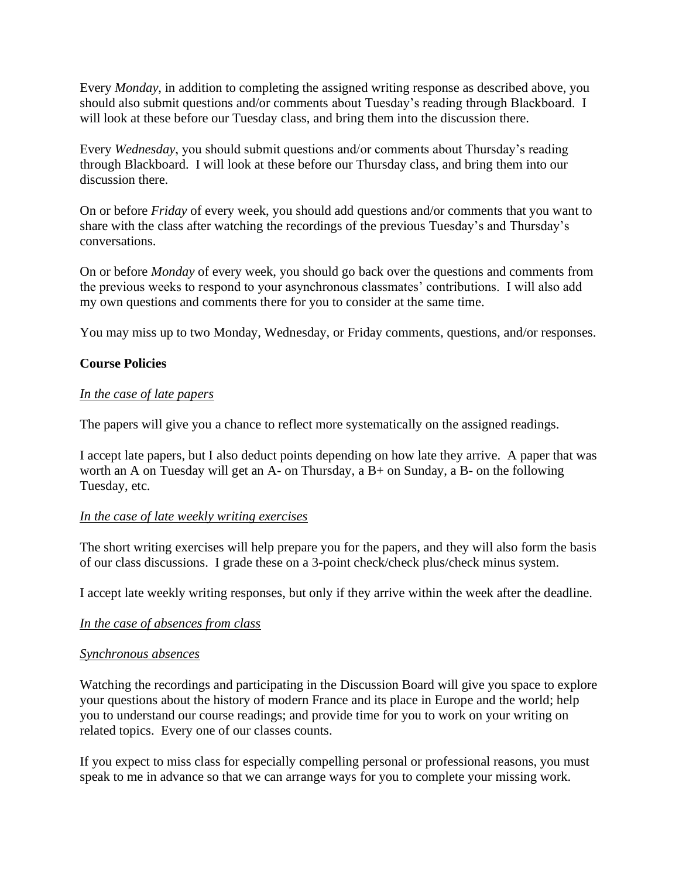Every *Monday*, in addition to completing the assigned writing response as described above, you should also submit questions and/or comments about Tuesday's reading through Blackboard. I will look at these before our Tuesday class, and bring them into the discussion there.

Every *Wednesday*, you should submit questions and/or comments about Thursday's reading through Blackboard. I will look at these before our Thursday class, and bring them into our discussion there.

On or before *Friday* of every week, you should add questions and/or comments that you want to share with the class after watching the recordings of the previous Tuesday's and Thursday's conversations.

On or before *Monday* of every week, you should go back over the questions and comments from the previous weeks to respond to your asynchronous classmates' contributions. I will also add my own questions and comments there for you to consider at the same time.

You may miss up to two Monday, Wednesday, or Friday comments, questions, and/or responses.

# **Course Policies**

### *In the case of late papers*

The papers will give you a chance to reflect more systematically on the assigned readings.

I accept late papers, but I also deduct points depending on how late they arrive. A paper that was worth an A on Tuesday will get an A- on Thursday, a B+ on Sunday, a B- on the following Tuesday, etc.

### *In the case of late weekly writing exercises*

The short writing exercises will help prepare you for the papers, and they will also form the basis of our class discussions. I grade these on a 3-point check/check plus/check minus system.

I accept late weekly writing responses, but only if they arrive within the week after the deadline.

### *In the case of absences from class*

### *Synchronous absences*

Watching the recordings and participating in the Discussion Board will give you space to explore your questions about the history of modern France and its place in Europe and the world; help you to understand our course readings; and provide time for you to work on your writing on related topics. Every one of our classes counts.

If you expect to miss class for especially compelling personal or professional reasons, you must speak to me in advance so that we can arrange ways for you to complete your missing work.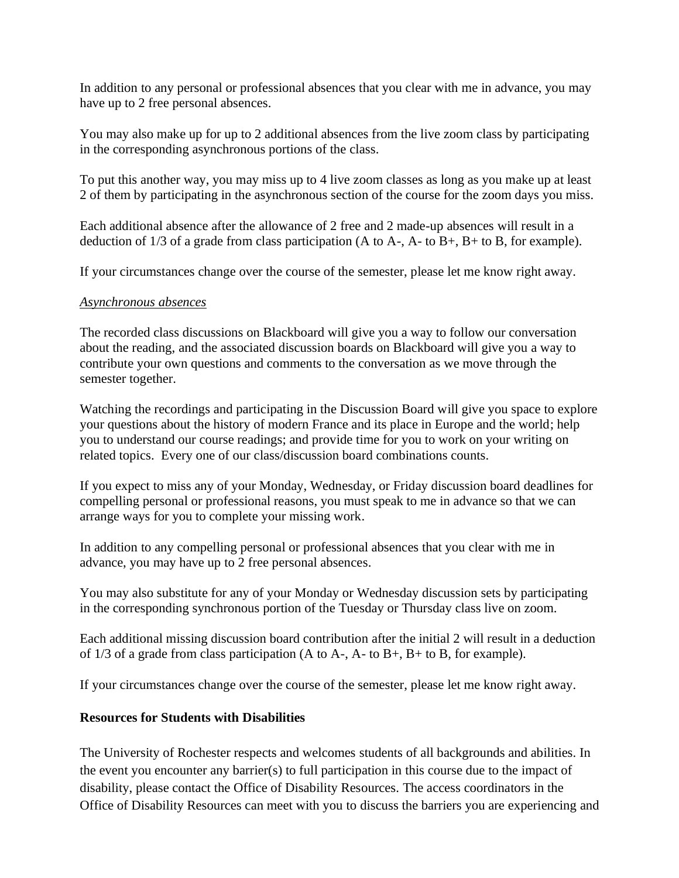In addition to any personal or professional absences that you clear with me in advance, you may have up to 2 free personal absences.

You may also make up for up to 2 additional absences from the live zoom class by participating in the corresponding asynchronous portions of the class.

To put this another way, you may miss up to 4 live zoom classes as long as you make up at least 2 of them by participating in the asynchronous section of the course for the zoom days you miss.

Each additional absence after the allowance of 2 free and 2 made-up absences will result in a deduction of 1/3 of a grade from class participation (A to A-, A- to B+, B+ to B, for example).

If your circumstances change over the course of the semester, please let me know right away.

### *Asynchronous absences*

The recorded class discussions on Blackboard will give you a way to follow our conversation about the reading, and the associated discussion boards on Blackboard will give you a way to contribute your own questions and comments to the conversation as we move through the semester together.

Watching the recordings and participating in the Discussion Board will give you space to explore your questions about the history of modern France and its place in Europe and the world; help you to understand our course readings; and provide time for you to work on your writing on related topics. Every one of our class/discussion board combinations counts.

If you expect to miss any of your Monday, Wednesday, or Friday discussion board deadlines for compelling personal or professional reasons, you must speak to me in advance so that we can arrange ways for you to complete your missing work.

In addition to any compelling personal or professional absences that you clear with me in advance, you may have up to 2 free personal absences.

You may also substitute for any of your Monday or Wednesday discussion sets by participating in the corresponding synchronous portion of the Tuesday or Thursday class live on zoom.

Each additional missing discussion board contribution after the initial 2 will result in a deduction of  $1/3$  of a grade from class participation (A to A-, A- to B+, B+ to B, for example).

If your circumstances change over the course of the semester, please let me know right away.

# **Resources for Students with Disabilities**

The University of Rochester respects and welcomes students of all backgrounds and abilities. In the event you encounter any barrier(s) to full participation in this course due to the impact of disability, please contact the Office of Disability Resources. The access coordinators in the Office of Disability Resources can meet with you to discuss the barriers you are experiencing and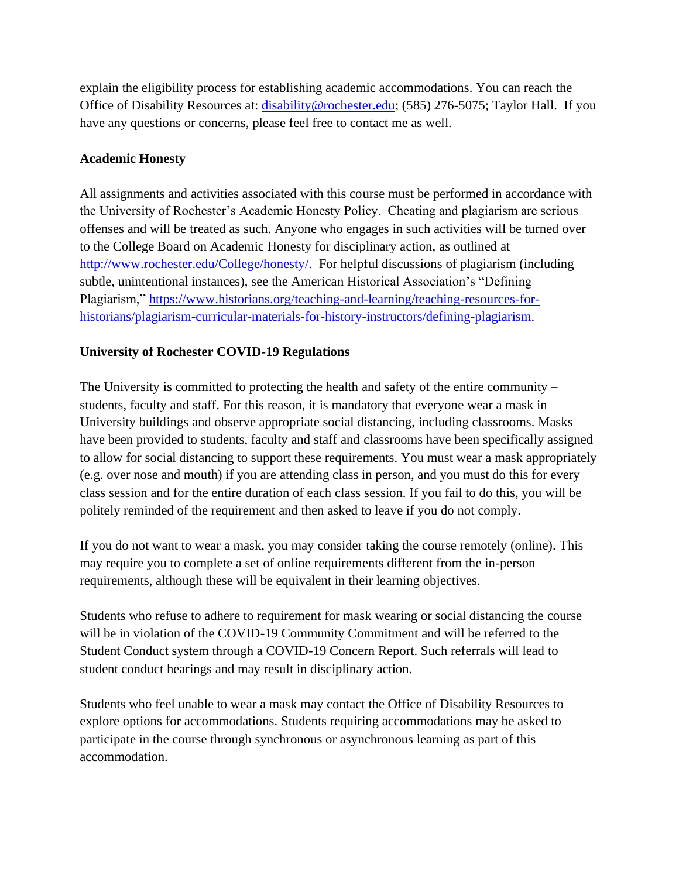explain the eligibility process for establishing academic accommodations. You can reach the Office of Disability Resources at: [disability@rochester.edu;](mailto:disability@rochester.edu) (585) 276-5075; Taylor Hall. If you have any questions or concerns, please feel free to contact me as well.

# **Academic Honesty**

All assignments and activities associated with this course must be performed in accordance with the University of Rochester's Academic Honesty Policy. Cheating and plagiarism are serious offenses and will be treated as such. Anyone who engages in such activities will be turned over to the College Board on Academic Honesty for disciplinary action, as outlined at [http://www.rochester.edu/College/honesty/.](http://www.rochester.edu/College/honesty/) For helpful discussions of plagiarism (including subtle, unintentional instances), see the American Historical Association's "Defining Plagiarism," [https://www.historians.org/teaching-and-learning/teaching-resources-for](https://www.historians.org/teaching-and-learning/teaching-resources-for-historians/plagiarism-curricular-materials-for-history-instructors/defining-plagiarism)[historians/plagiarism-curricular-materials-for-history-instructors/defining-plagiarism.](https://www.historians.org/teaching-and-learning/teaching-resources-for-historians/plagiarism-curricular-materials-for-history-instructors/defining-plagiarism)

# **University of Rochester COVID-19 Regulations**

The University is committed to protecting the health and safety of the entire community – students, faculty and staff. For this reason, it is mandatory that everyone wear a mask in University buildings and observe appropriate social distancing, including classrooms. Masks have been provided to students, faculty and staff and classrooms have been specifically assigned to allow for social distancing to support these requirements. You must wear a mask appropriately (e.g. over nose and mouth) if you are attending class in person, and you must do this for every class session and for the entire duration of each class session. If you fail to do this, you will be politely reminded of the requirement and then asked to leave if you do not comply.

If you do not want to wear a mask, you may consider taking the course remotely (online). This may require you to complete a set of online requirements different from the in-person requirements, although these will be equivalent in their learning objectives.

Students who refuse to adhere to requirement for mask wearing or social distancing the course will be in violation of the COVID-19 Community Commitment and will be referred to the Student Conduct system through a COVID-19 Concern Report. Such referrals will lead to student conduct hearings and may result in disciplinary action.

Students who feel unable to wear a mask may contact the Office of Disability Resources to explore options for accommodations. Students requiring accommodations may be asked to participate in the course through synchronous or asynchronous learning as part of this accommodation.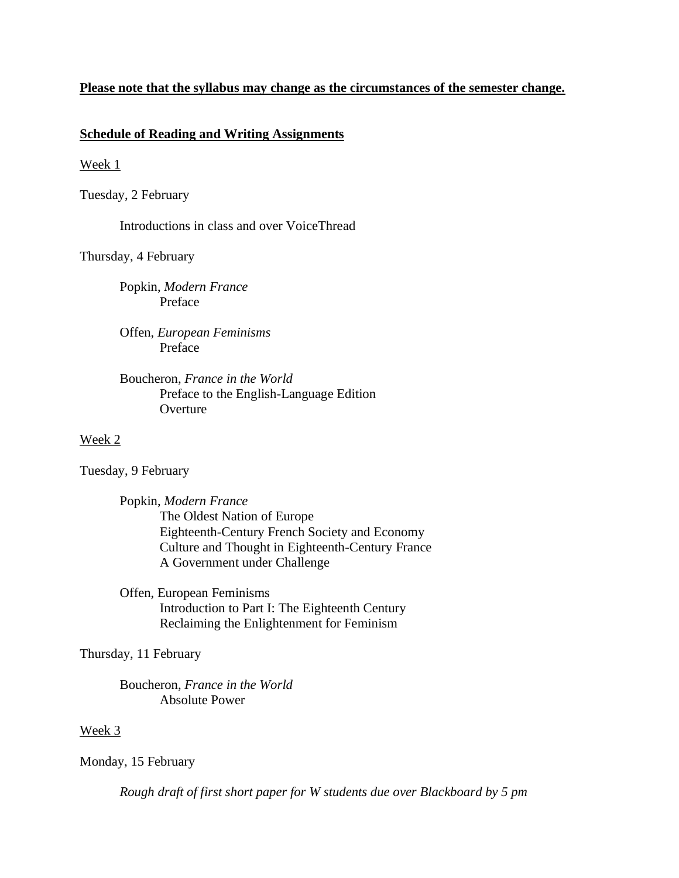### **Please note that the syllabus may change as the circumstances of the semester change.**

#### **Schedule of Reading and Writing Assignments**

#### Week 1

Tuesday, 2 February

Introductions in class and over VoiceThread

#### Thursday, 4 February

Popkin, *Modern France* Preface

Offen, *European Feminisms* Preface

# Boucheron, *France in the World* Preface to the English-Language Edition **Overture**

#### Week 2

Tuesday, 9 February

Popkin, *Modern France* The Oldest Nation of Europe Eighteenth-Century French Society and Economy Culture and Thought in Eighteenth-Century France A Government under Challenge

Offen, European Feminisms Introduction to Part I: The Eighteenth Century Reclaiming the Enlightenment for Feminism

Thursday, 11 February

Boucheron, *France in the World* Absolute Power

#### Week 3

Monday, 15 February

*Rough draft of first short paper for W students due over Blackboard by 5 pm*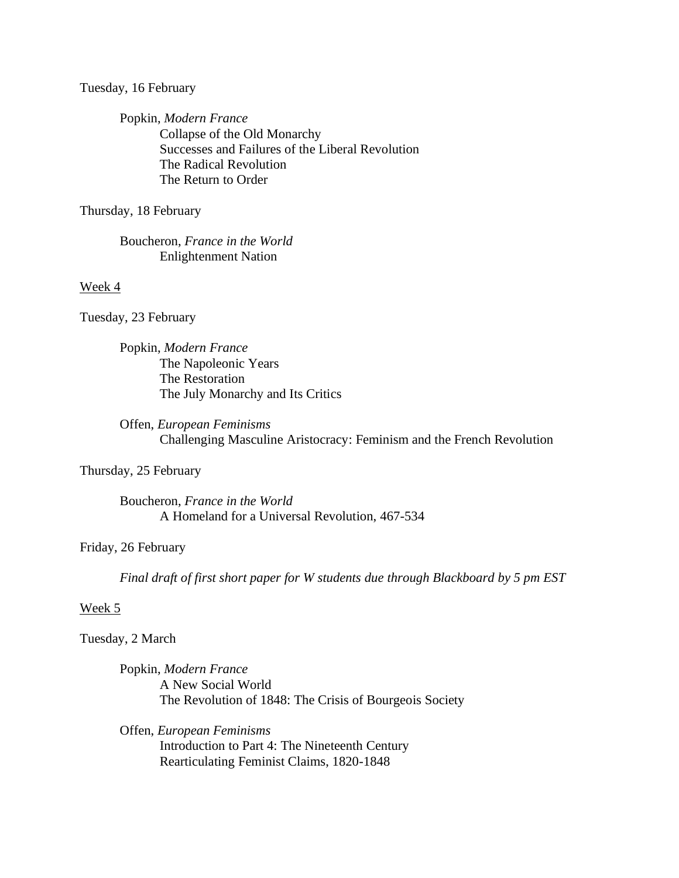Tuesday, 16 February

Popkin, *Modern France* Collapse of the Old Monarchy Successes and Failures of the Liberal Revolution The Radical Revolution The Return to Order

Thursday, 18 February

Boucheron, *France in the World* Enlightenment Nation

Week 4

Tuesday, 23 February

Popkin, *Modern France* The Napoleonic Years The Restoration The July Monarchy and Its Critics

Offen, *European Feminisms* Challenging Masculine Aristocracy: Feminism and the French Revolution

Thursday, 25 February

Boucheron, *France in the World* A Homeland for a Universal Revolution, 467-534

Friday, 26 February

*Final draft of first short paper for W students due through Blackboard by 5 pm EST*

#### Week 5

Tuesday, 2 March

Popkin, *Modern France* A New Social World The Revolution of 1848: The Crisis of Bourgeois Society

Offen, *European Feminisms* Introduction to Part 4: The Nineteenth Century Rearticulating Feminist Claims, 1820-1848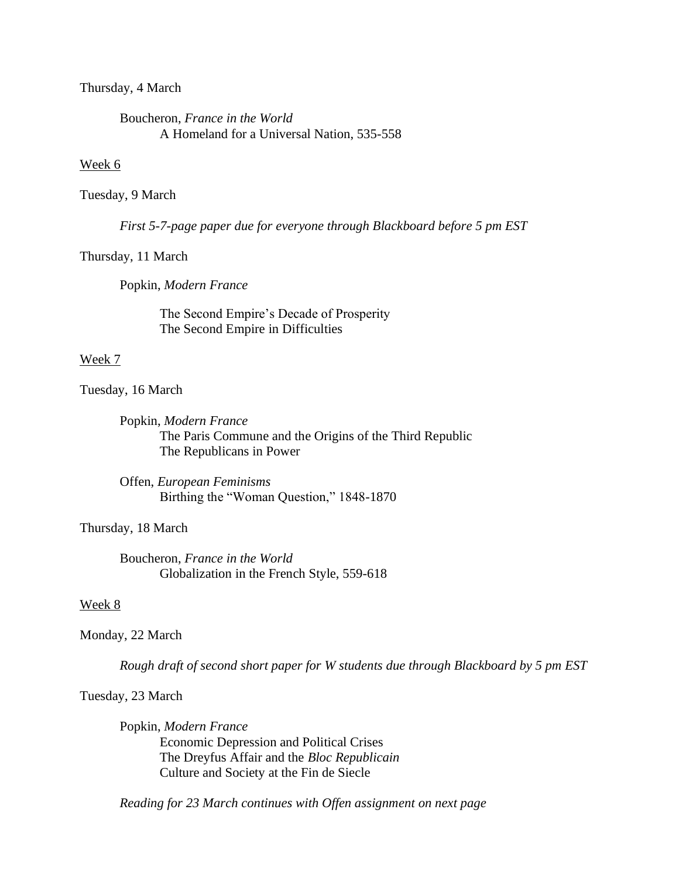Thursday, 4 March

Boucheron, *France in the World* A Homeland for a Universal Nation, 535-558

#### Week 6

#### Tuesday, 9 March

*First 5-7-page paper due for everyone through Blackboard before 5 pm EST*

#### Thursday, 11 March

Popkin, *Modern France*

The Second Empire's Decade of Prosperity The Second Empire in Difficulties

#### Week 7

Tuesday, 16 March

Popkin, *Modern France* The Paris Commune and the Origins of the Third Republic The Republicans in Power

Offen, *European Feminisms* Birthing the "Woman Question," 1848-1870

Thursday, 18 March

Boucheron, *France in the World* Globalization in the French Style, 559-618

#### Week 8

#### Monday, 22 March

*Rough draft of second short paper for W students due through Blackboard by 5 pm EST*

Tuesday, 23 March

Popkin, *Modern France* Economic Depression and Political Crises The Dreyfus Affair and the *Bloc Republicain* Culture and Society at the Fin de Siecle

*Reading for 23 March continues with Offen assignment on next page*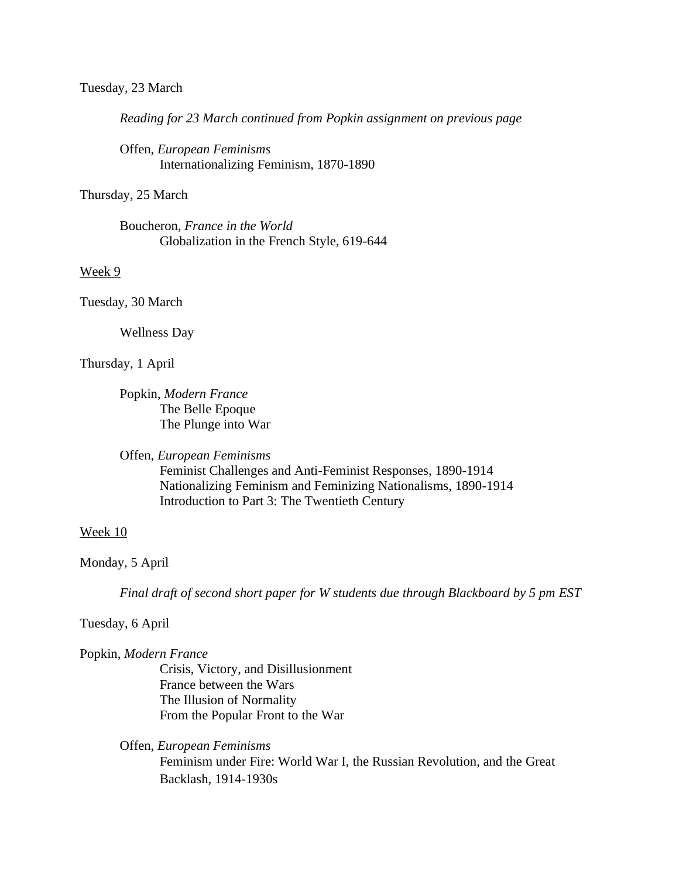#### Tuesday, 23 March

*Reading for 23 March continued from Popkin assignment on previous page*

Offen, *European Feminisms* Internationalizing Feminism, 1870-1890

Thursday, 25 March

Boucheron, *France in the World* Globalization in the French Style, 619-644

Week 9

Tuesday, 30 March

Wellness Day

Thursday, 1 April

Popkin, *Modern France* The Belle Epoque The Plunge into War

Offen, *European Feminisms*

Feminist Challenges and Anti-Feminist Responses, 1890-1914 Nationalizing Feminism and Feminizing Nationalisms, 1890-1914 Introduction to Part 3: The Twentieth Century

#### Week 10

Monday, 5 April

*Final draft of second short paper for W students due through Blackboard by 5 pm EST*

Tuesday, 6 April

Popkin, *Modern France*

Crisis, Victory, and Disillusionment France between the Wars The Illusion of Normality From the Popular Front to the War

Offen, *European Feminisms* Feminism under Fire: World War I, the Russian Revolution, and the Great Backlash, 1914-1930s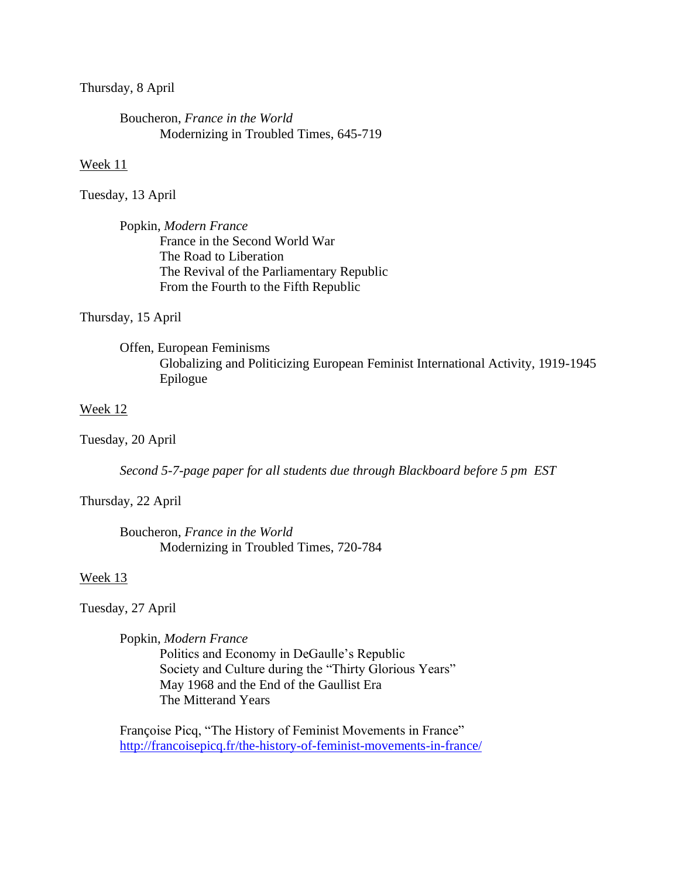Thursday, 8 April

Boucheron, *France in the World* Modernizing in Troubled Times, 645-719

#### Week 11

Tuesday, 13 April

Popkin, *Modern France* France in the Second World War The Road to Liberation The Revival of the Parliamentary Republic From the Fourth to the Fifth Republic

Thursday, 15 April

Offen, European Feminisms Globalizing and Politicizing European Feminist International Activity, 1919-1945 Epilogue

#### Week 12

Tuesday, 20 April

*Second 5-7-page paper for all students due through Blackboard before 5 pm EST*

Thursday, 22 April

Boucheron, *France in the World* Modernizing in Troubled Times, 720-784

#### Week 13

Tuesday, 27 April

Popkin, *Modern France*

Politics and Economy in DeGaulle's Republic Society and Culture during the "Thirty Glorious Years" May 1968 and the End of the Gaullist Era The Mitterand Years

Françoise Picq, "The History of Feminist Movements in France" <http://francoisepicq.fr/the-history-of-feminist-movements-in-france/>